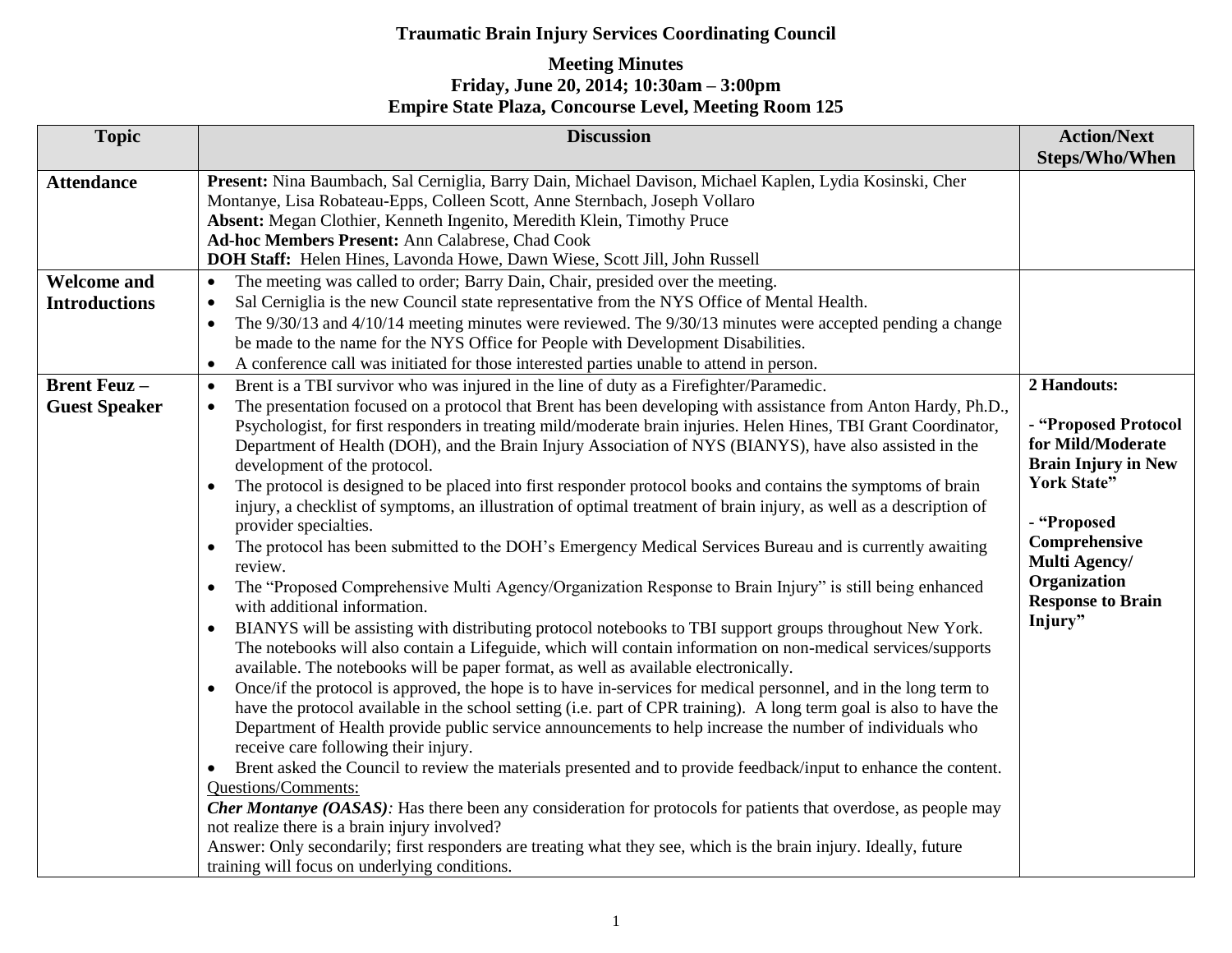| <b>Topic</b>                                | <b>Discussion</b>                                                                                                                                                                                                                                                                                                                                                                                                                                                                                                                                                                                                                                                                                                                                                                                                                                                                                                                                                                                                                                                                                                                                                                                                                                                                                                                                                                                                                                                                                                                                                                                                                                                                                                                                                                                                                                                                                                                                                                                                                                                                                                                                                                                                                                              | <b>Action/Next</b><br><b>Steps/Who/When</b>                                                                                                                                                                          |
|---------------------------------------------|----------------------------------------------------------------------------------------------------------------------------------------------------------------------------------------------------------------------------------------------------------------------------------------------------------------------------------------------------------------------------------------------------------------------------------------------------------------------------------------------------------------------------------------------------------------------------------------------------------------------------------------------------------------------------------------------------------------------------------------------------------------------------------------------------------------------------------------------------------------------------------------------------------------------------------------------------------------------------------------------------------------------------------------------------------------------------------------------------------------------------------------------------------------------------------------------------------------------------------------------------------------------------------------------------------------------------------------------------------------------------------------------------------------------------------------------------------------------------------------------------------------------------------------------------------------------------------------------------------------------------------------------------------------------------------------------------------------------------------------------------------------------------------------------------------------------------------------------------------------------------------------------------------------------------------------------------------------------------------------------------------------------------------------------------------------------------------------------------------------------------------------------------------------------------------------------------------------------------------------------------------------|----------------------------------------------------------------------------------------------------------------------------------------------------------------------------------------------------------------------|
| <b>Attendance</b>                           | Present: Nina Baumbach, Sal Cerniglia, Barry Dain, Michael Davison, Michael Kaplen, Lydia Kosinski, Cher<br>Montanye, Lisa Robateau-Epps, Colleen Scott, Anne Sternbach, Joseph Vollaro<br>Absent: Megan Clothier, Kenneth Ingenito, Meredith Klein, Timothy Pruce<br>Ad-hoc Members Present: Ann Calabrese, Chad Cook<br>DOH Staff: Helen Hines, Lavonda Howe, Dawn Wiese, Scott Jill, John Russell                                                                                                                                                                                                                                                                                                                                                                                                                                                                                                                                                                                                                                                                                                                                                                                                                                                                                                                                                                                                                                                                                                                                                                                                                                                                                                                                                                                                                                                                                                                                                                                                                                                                                                                                                                                                                                                           |                                                                                                                                                                                                                      |
| <b>Welcome and</b><br><b>Introductions</b>  | The meeting was called to order; Barry Dain, Chair, presided over the meeting.<br>$\bullet$<br>Sal Cerniglia is the new Council state representative from the NYS Office of Mental Health.<br>$\bullet$<br>The 9/30/13 and 4/10/14 meeting minutes were reviewed. The 9/30/13 minutes were accepted pending a change<br>be made to the name for the NYS Office for People with Development Disabilities.<br>A conference call was initiated for those interested parties unable to attend in person.<br>$\bullet$                                                                                                                                                                                                                                                                                                                                                                                                                                                                                                                                                                                                                                                                                                                                                                                                                                                                                                                                                                                                                                                                                                                                                                                                                                                                                                                                                                                                                                                                                                                                                                                                                                                                                                                                              |                                                                                                                                                                                                                      |
| <b>Brent Feuz</b> –<br><b>Guest Speaker</b> | Brent is a TBI survivor who was injured in the line of duty as a Firefighter/Paramedic.<br>$\bullet$<br>The presentation focused on a protocol that Brent has been developing with assistance from Anton Hardy, Ph.D.,<br>Psychologist, for first responders in treating mild/moderate brain injuries. Helen Hines, TBI Grant Coordinator,<br>Department of Health (DOH), and the Brain Injury Association of NYS (BIANYS), have also assisted in the<br>development of the protocol.<br>The protocol is designed to be placed into first responder protocol books and contains the symptoms of brain<br>injury, a checklist of symptoms, an illustration of optimal treatment of brain injury, as well as a description of<br>provider specialties.<br>The protocol has been submitted to the DOH's Emergency Medical Services Bureau and is currently awaiting<br>review.<br>The "Proposed Comprehensive Multi Agency/Organization Response to Brain Injury" is still being enhanced<br>with additional information.<br>BIANYS will be assisting with distributing protocol notebooks to TBI support groups throughout New York.<br>The notebooks will also contain a Lifeguide, which will contain information on non-medical services/supports<br>available. The notebooks will be paper format, as well as available electronically.<br>Once/if the protocol is approved, the hope is to have in-services for medical personnel, and in the long term to<br>$\bullet$<br>have the protocol available in the school setting (i.e. part of CPR training). A long term goal is also to have the<br>Department of Health provide public service announcements to help increase the number of individuals who<br>receive care following their injury.<br>Brent asked the Council to review the materials presented and to provide feedback/input to enhance the content.<br>$\bullet$<br>Questions/Comments:<br><b>Cher Montanye (OASAS)</b> : Has there been any consideration for protocols for patients that overdose, as people may<br>not realize there is a brain injury involved?<br>Answer: Only secondarily; first responders are treating what they see, which is the brain injury. Ideally, future<br>training will focus on underlying conditions. | 2 Handouts:<br>- "Proposed Protocol<br>for Mild/Moderate<br><b>Brain Injury in New</b><br><b>York State"</b><br>- "Proposed<br>Comprehensive<br>Multi Agency/<br>Organization<br><b>Response to Brain</b><br>Injury" |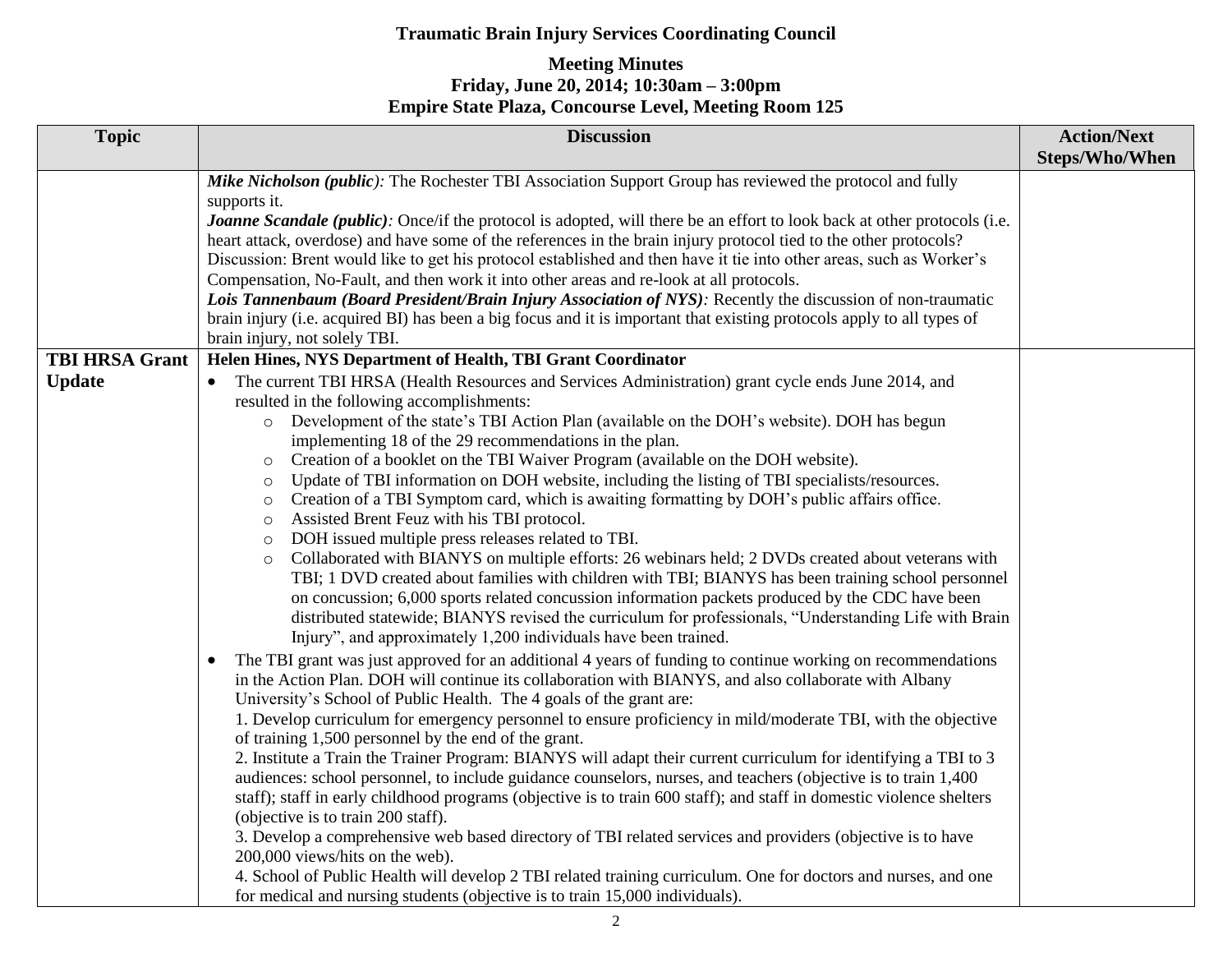| <b>Topic</b>                           | <b>Discussion</b>                                                                                                                                                                                                                                                                                                                                                                                                                                                                                                                                                                                                                                                                                                                                                                                                                                                                                                                                                                                                                                                                                                                                                                                                                                                                                                                                                                                                                                                                                                                                                                                                                                                                                                                                                                                                                                                                                                                                                                                                                                                                                                                                                                                                                                                                                                                                                                                                                                                                                                                                                                      | <b>Action/Next</b><br><b>Steps/Who/When</b> |
|----------------------------------------|----------------------------------------------------------------------------------------------------------------------------------------------------------------------------------------------------------------------------------------------------------------------------------------------------------------------------------------------------------------------------------------------------------------------------------------------------------------------------------------------------------------------------------------------------------------------------------------------------------------------------------------------------------------------------------------------------------------------------------------------------------------------------------------------------------------------------------------------------------------------------------------------------------------------------------------------------------------------------------------------------------------------------------------------------------------------------------------------------------------------------------------------------------------------------------------------------------------------------------------------------------------------------------------------------------------------------------------------------------------------------------------------------------------------------------------------------------------------------------------------------------------------------------------------------------------------------------------------------------------------------------------------------------------------------------------------------------------------------------------------------------------------------------------------------------------------------------------------------------------------------------------------------------------------------------------------------------------------------------------------------------------------------------------------------------------------------------------------------------------------------------------------------------------------------------------------------------------------------------------------------------------------------------------------------------------------------------------------------------------------------------------------------------------------------------------------------------------------------------------------------------------------------------------------------------------------------------------|---------------------------------------------|
|                                        | Mike Nicholson (public): The Rochester TBI Association Support Group has reviewed the protocol and fully<br>supports it.<br><b>Joanne Scandale (public)</b> : Once/if the protocol is adopted, will there be an effort to look back at other protocols (i.e.<br>heart attack, overdose) and have some of the references in the brain injury protocol tied to the other protocols?<br>Discussion: Brent would like to get his protocol established and then have it tie into other areas, such as Worker's<br>Compensation, No-Fault, and then work it into other areas and re-look at all protocols.<br>Lois Tannenbaum (Board President/Brain Injury Association of NYS): Recently the discussion of non-traumatic<br>brain injury (i.e. acquired BI) has been a big focus and it is important that existing protocols apply to all types of<br>brain injury, not solely TBI.                                                                                                                                                                                                                                                                                                                                                                                                                                                                                                                                                                                                                                                                                                                                                                                                                                                                                                                                                                                                                                                                                                                                                                                                                                                                                                                                                                                                                                                                                                                                                                                                                                                                                                         |                                             |
| <b>TBI HRSA Grant</b><br><b>Update</b> | Helen Hines, NYS Department of Health, TBI Grant Coordinator<br>The current TBI HRSA (Health Resources and Services Administration) grant cycle ends June 2014, and<br>resulted in the following accomplishments:<br>Development of the state's TBI Action Plan (available on the DOH's website). DOH has begun<br>$\circ$<br>implementing 18 of the 29 recommendations in the plan.<br>Creation of a booklet on the TBI Waiver Program (available on the DOH website).<br>$\circ$<br>Update of TBI information on DOH website, including the listing of TBI specialists/resources.<br>$\circ$<br>Creation of a TBI Symptom card, which is awaiting formatting by DOH's public affairs office.<br>$\circ$<br>Assisted Brent Feuz with his TBI protocol.<br>$\circ$<br>DOH issued multiple press releases related to TBI.<br>$\circ$<br>Collaborated with BIANYS on multiple efforts: 26 webinars held; 2 DVDs created about veterans with<br>$\circ$<br>TBI; 1 DVD created about families with children with TBI; BIANYS has been training school personnel<br>on concussion; 6,000 sports related concussion information packets produced by the CDC have been<br>distributed statewide; BIANYS revised the curriculum for professionals, "Understanding Life with Brain<br>Injury", and approximately 1,200 individuals have been trained.<br>The TBI grant was just approved for an additional 4 years of funding to continue working on recommendations<br>$\bullet$<br>in the Action Plan. DOH will continue its collaboration with BIANYS, and also collaborate with Albany<br>University's School of Public Health. The 4 goals of the grant are:<br>1. Develop curriculum for emergency personnel to ensure proficiency in mild/moderate TBI, with the objective<br>of training 1,500 personnel by the end of the grant.<br>2. Institute a Train the Trainer Program: BIANYS will adapt their current curriculum for identifying a TBI to 3<br>audiences: school personnel, to include guidance counselors, nurses, and teachers (objective is to train 1,400<br>staff); staff in early childhood programs (objective is to train 600 staff); and staff in domestic violence shelters<br>(objective is to train 200 staff).<br>3. Develop a comprehensive web based directory of TBI related services and providers (objective is to have<br>200,000 views/hits on the web).<br>4. School of Public Health will develop 2 TBI related training curriculum. One for doctors and nurses, and one<br>for medical and nursing students (objective is to train 15,000 individuals). |                                             |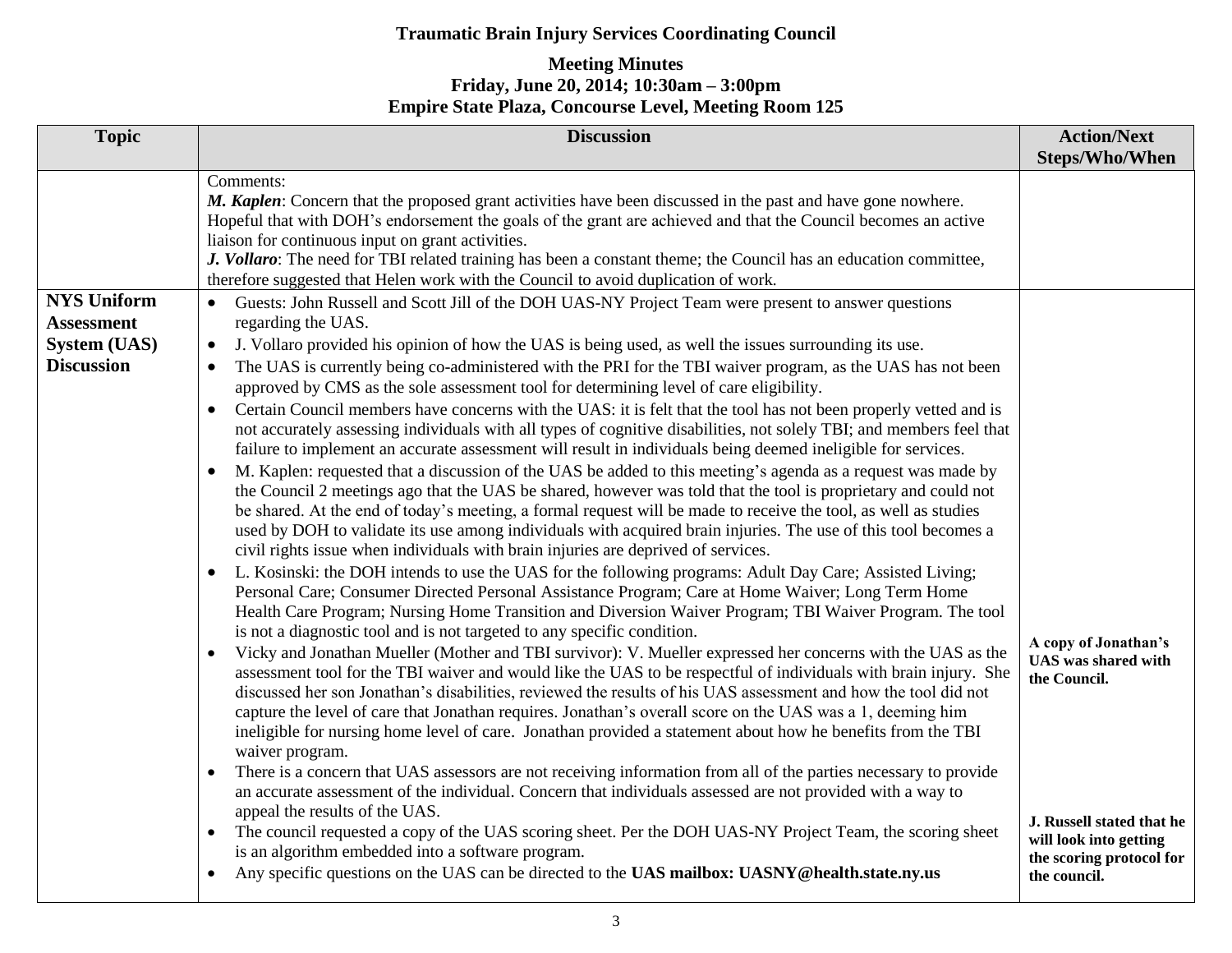| <b>Topic</b>                                                                        | <b>Discussion</b>                                                                                                                                                                                                                                                                                                                                                                                                                                                                                                                                                                                                                                                                                                                                                                                                                                                                                                                                                                                                                                                                                                                                                                                                                                                                                                                                                                                                                                                                                                                                                                                                                                                                                                                                                                                                                                                                                                                                                                                                                                                                                                                                                                                                                                                                                                                                                                                                                                                                                                                                                                                                                                                                          | <b>Action/Next</b><br><b>Steps/Who/When</b>                                                     |
|-------------------------------------------------------------------------------------|--------------------------------------------------------------------------------------------------------------------------------------------------------------------------------------------------------------------------------------------------------------------------------------------------------------------------------------------------------------------------------------------------------------------------------------------------------------------------------------------------------------------------------------------------------------------------------------------------------------------------------------------------------------------------------------------------------------------------------------------------------------------------------------------------------------------------------------------------------------------------------------------------------------------------------------------------------------------------------------------------------------------------------------------------------------------------------------------------------------------------------------------------------------------------------------------------------------------------------------------------------------------------------------------------------------------------------------------------------------------------------------------------------------------------------------------------------------------------------------------------------------------------------------------------------------------------------------------------------------------------------------------------------------------------------------------------------------------------------------------------------------------------------------------------------------------------------------------------------------------------------------------------------------------------------------------------------------------------------------------------------------------------------------------------------------------------------------------------------------------------------------------------------------------------------------------------------------------------------------------------------------------------------------------------------------------------------------------------------------------------------------------------------------------------------------------------------------------------------------------------------------------------------------------------------------------------------------------------------------------------------------------------------------------------------------------|-------------------------------------------------------------------------------------------------|
|                                                                                     | Comments:<br>M. Kaplen: Concern that the proposed grant activities have been discussed in the past and have gone nowhere.<br>Hopeful that with DOH's endorsement the goals of the grant are achieved and that the Council becomes an active<br>liaison for continuous input on grant activities.<br>J. Vollaro: The need for TBI related training has been a constant theme; the Council has an education committee,<br>therefore suggested that Helen work with the Council to avoid duplication of work.                                                                                                                                                                                                                                                                                                                                                                                                                                                                                                                                                                                                                                                                                                                                                                                                                                                                                                                                                                                                                                                                                                                                                                                                                                                                                                                                                                                                                                                                                                                                                                                                                                                                                                                                                                                                                                                                                                                                                                                                                                                                                                                                                                                 |                                                                                                 |
| <b>NYS Uniform</b><br><b>Assessment</b><br><b>System (UAS)</b><br><b>Discussion</b> | Guests: John Russell and Scott Jill of the DOH UAS-NY Project Team were present to answer questions<br>$\bullet$<br>regarding the UAS.<br>J. Vollaro provided his opinion of how the UAS is being used, as well the issues surrounding its use.<br>$\bullet$<br>The UAS is currently being co-administered with the PRI for the TBI waiver program, as the UAS has not been<br>approved by CMS as the sole assessment tool for determining level of care eligibility.<br>Certain Council members have concerns with the UAS: it is felt that the tool has not been properly vetted and is<br>not accurately assessing individuals with all types of cognitive disabilities, not solely TBI; and members feel that<br>failure to implement an accurate assessment will result in individuals being deemed ineligible for services.<br>M. Kaplen: requested that a discussion of the UAS be added to this meeting's agenda as a request was made by<br>the Council 2 meetings ago that the UAS be shared, however was told that the tool is proprietary and could not<br>be shared. At the end of today's meeting, a formal request will be made to receive the tool, as well as studies<br>used by DOH to validate its use among individuals with acquired brain injuries. The use of this tool becomes a<br>civil rights issue when individuals with brain injuries are deprived of services.<br>L. Kosinski: the DOH intends to use the UAS for the following programs: Adult Day Care; Assisted Living;<br>$\bullet$<br>Personal Care; Consumer Directed Personal Assistance Program; Care at Home Waiver; Long Term Home<br>Health Care Program; Nursing Home Transition and Diversion Waiver Program; TBI Waiver Program. The tool<br>is not a diagnostic tool and is not targeted to any specific condition.<br>Vicky and Jonathan Mueller (Mother and TBI survivor): V. Mueller expressed her concerns with the UAS as the<br>assessment tool for the TBI waiver and would like the UAS to be respectful of individuals with brain injury. She<br>discussed her son Jonathan's disabilities, reviewed the results of his UAS assessment and how the tool did not<br>capture the level of care that Jonathan requires. Jonathan's overall score on the UAS was a 1, deeming him<br>ineligible for nursing home level of care. Jonathan provided a statement about how he benefits from the TBI<br>waiver program.<br>There is a concern that UAS assessors are not receiving information from all of the parties necessary to provide<br>an accurate assessment of the individual. Concern that individuals assessed are not provided with a way to<br>appeal the results of the UAS. | A copy of Jonathan's<br><b>UAS</b> was shared with<br>the Council.                              |
|                                                                                     | The council requested a copy of the UAS scoring sheet. Per the DOH UAS-NY Project Team, the scoring sheet<br>is an algorithm embedded into a software program.<br>Any specific questions on the UAS can be directed to the UAS mailbox: UASNY@health.state.ny.us                                                                                                                                                                                                                                                                                                                                                                                                                                                                                                                                                                                                                                                                                                                                                                                                                                                                                                                                                                                                                                                                                                                                                                                                                                                                                                                                                                                                                                                                                                                                                                                                                                                                                                                                                                                                                                                                                                                                                                                                                                                                                                                                                                                                                                                                                                                                                                                                                           | J. Russell stated that he<br>will look into getting<br>the scoring protocol for<br>the council. |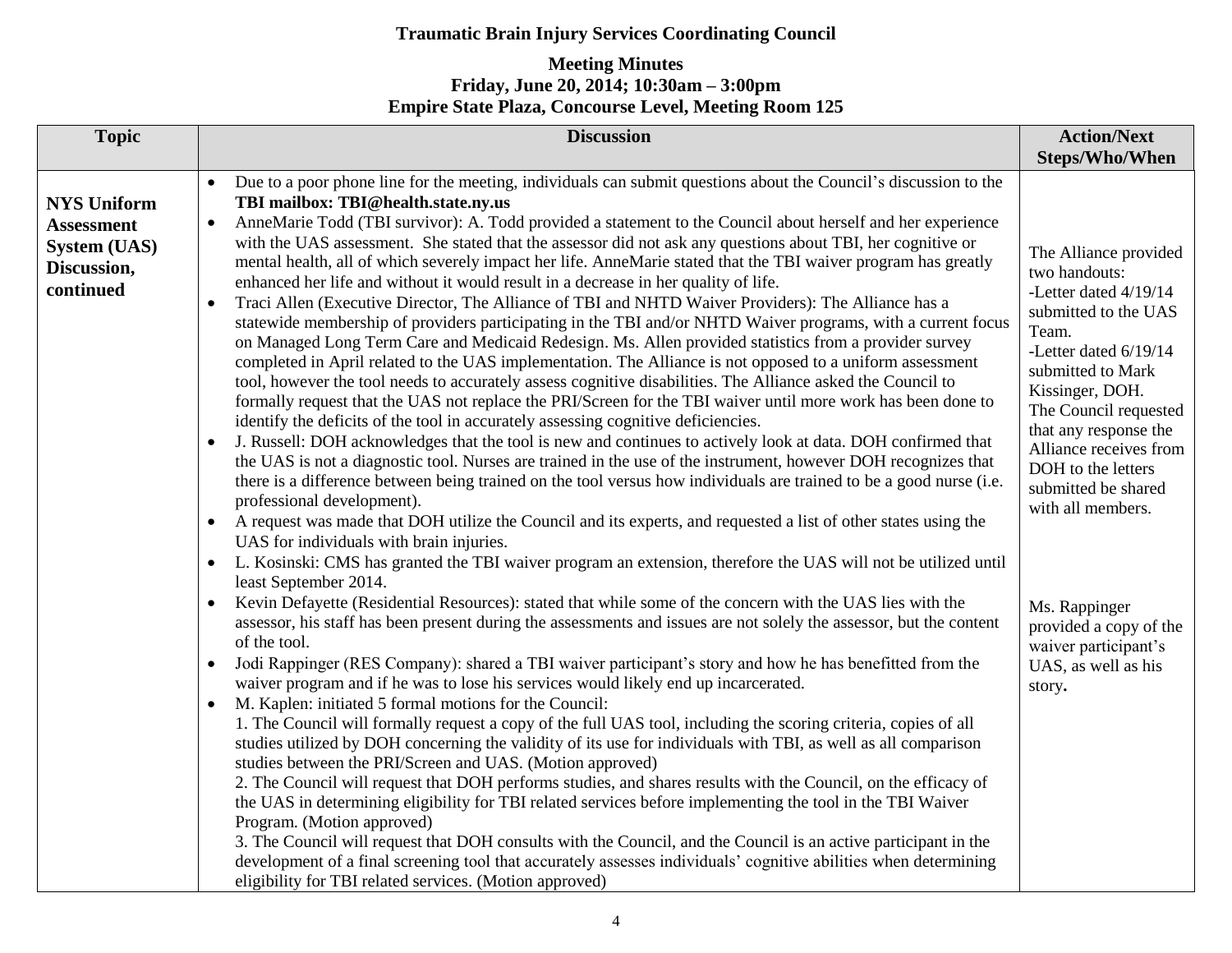| <b>Topic</b>                                                                               | <b>Discussion</b>                                                                                                                                                                                                                                                                                                                                                                                                                                                                                                                                                                                                                                                                                                                                                                                                                                                                                                                                                                                                                                                                                                                                                                                                                                                                                                                                                                                                                                                                                                                                                                                                                                                                                                                                                                                                                                                                                                                                                                                                                                                                                                                                                                                                                                                                                                                                                                                                                                                                                                                                                                                                                                                                                                                                                                                                                                                                                                                                                                                                                                                                                                                                                                                                                                                                                                                                                                                                                                                             | <b>Action/Next</b>                                                                                                                                                                                                                                                                                                                                                                                                                           |
|--------------------------------------------------------------------------------------------|-------------------------------------------------------------------------------------------------------------------------------------------------------------------------------------------------------------------------------------------------------------------------------------------------------------------------------------------------------------------------------------------------------------------------------------------------------------------------------------------------------------------------------------------------------------------------------------------------------------------------------------------------------------------------------------------------------------------------------------------------------------------------------------------------------------------------------------------------------------------------------------------------------------------------------------------------------------------------------------------------------------------------------------------------------------------------------------------------------------------------------------------------------------------------------------------------------------------------------------------------------------------------------------------------------------------------------------------------------------------------------------------------------------------------------------------------------------------------------------------------------------------------------------------------------------------------------------------------------------------------------------------------------------------------------------------------------------------------------------------------------------------------------------------------------------------------------------------------------------------------------------------------------------------------------------------------------------------------------------------------------------------------------------------------------------------------------------------------------------------------------------------------------------------------------------------------------------------------------------------------------------------------------------------------------------------------------------------------------------------------------------------------------------------------------------------------------------------------------------------------------------------------------------------------------------------------------------------------------------------------------------------------------------------------------------------------------------------------------------------------------------------------------------------------------------------------------------------------------------------------------------------------------------------------------------------------------------------------------------------------------------------------------------------------------------------------------------------------------------------------------------------------------------------------------------------------------------------------------------------------------------------------------------------------------------------------------------------------------------------------------------------------------------------------------------------------------------------------------|----------------------------------------------------------------------------------------------------------------------------------------------------------------------------------------------------------------------------------------------------------------------------------------------------------------------------------------------------------------------------------------------------------------------------------------------|
| <b>NYS Uniform</b><br><b>Assessment</b><br><b>System (UAS)</b><br>Discussion,<br>continued | Due to a poor phone line for the meeting, individuals can submit questions about the Council's discussion to the<br>TBI mailbox: TBI@health.state.ny.us<br>AnneMarie Todd (TBI survivor): A. Todd provided a statement to the Council about herself and her experience<br>with the UAS assessment. She stated that the assessor did not ask any questions about TBI, her cognitive or<br>mental health, all of which severely impact her life. AnneMarie stated that the TBI waiver program has greatly<br>enhanced her life and without it would result in a decrease in her quality of life.<br>Traci Allen (Executive Director, The Alliance of TBI and NHTD Waiver Providers): The Alliance has a<br>statewide membership of providers participating in the TBI and/or NHTD Waiver programs, with a current focus<br>on Managed Long Term Care and Medicaid Redesign. Ms. Allen provided statistics from a provider survey<br>completed in April related to the UAS implementation. The Alliance is not opposed to a uniform assessment<br>tool, however the tool needs to accurately assess cognitive disabilities. The Alliance asked the Council to<br>formally request that the UAS not replace the PRI/Screen for the TBI waiver until more work has been done to<br>identify the deficits of the tool in accurately assessing cognitive deficiencies.<br>J. Russell: DOH acknowledges that the tool is new and continues to actively look at data. DOH confirmed that<br>$\bullet$<br>the UAS is not a diagnostic tool. Nurses are trained in the use of the instrument, however DOH recognizes that<br>there is a difference between being trained on the tool versus how individuals are trained to be a good nurse (i.e.<br>professional development).<br>A request was made that DOH utilize the Council and its experts, and requested a list of other states using the<br>UAS for individuals with brain injuries.<br>L. Kosinski: CMS has granted the TBI waiver program an extension, therefore the UAS will not be utilized until<br>least September 2014.<br>Kevin Defayette (Residential Resources): stated that while some of the concern with the UAS lies with the<br>assessor, his staff has been present during the assessments and issues are not solely the assessor, but the content<br>of the tool.<br>Jodi Rappinger (RES Company): shared a TBI waiver participant's story and how he has benefitted from the<br>waiver program and if he was to lose his services would likely end up incarcerated.<br>M. Kaplen: initiated 5 formal motions for the Council:<br>$\bullet$<br>1. The Council will formally request a copy of the full UAS tool, including the scoring criteria, copies of all<br>studies utilized by DOH concerning the validity of its use for individuals with TBI, as well as all comparison<br>studies between the PRI/Screen and UAS. (Motion approved)<br>2. The Council will request that DOH performs studies, and shares results with the Council, on the efficacy of<br>the UAS in determining eligibility for TBI related services before implementing the tool in the TBI Waiver<br>Program. (Motion approved)<br>3. The Council will request that DOH consults with the Council, and the Council is an active participant in the<br>development of a final screening tool that accurately assesses individuals' cognitive abilities when determining<br>eligibility for TBI related services. (Motion approved) | <b>Steps/Who/When</b><br>The Alliance provided<br>two handouts:<br>-Letter dated 4/19/14<br>submitted to the UAS<br>Team.<br>-Letter dated 6/19/14<br>submitted to Mark<br>Kissinger, DOH.<br>The Council requested<br>that any response the<br>Alliance receives from<br>DOH to the letters<br>submitted be shared<br>with all members.<br>Ms. Rappinger<br>provided a copy of the<br>waiver participant's<br>UAS, as well as his<br>story. |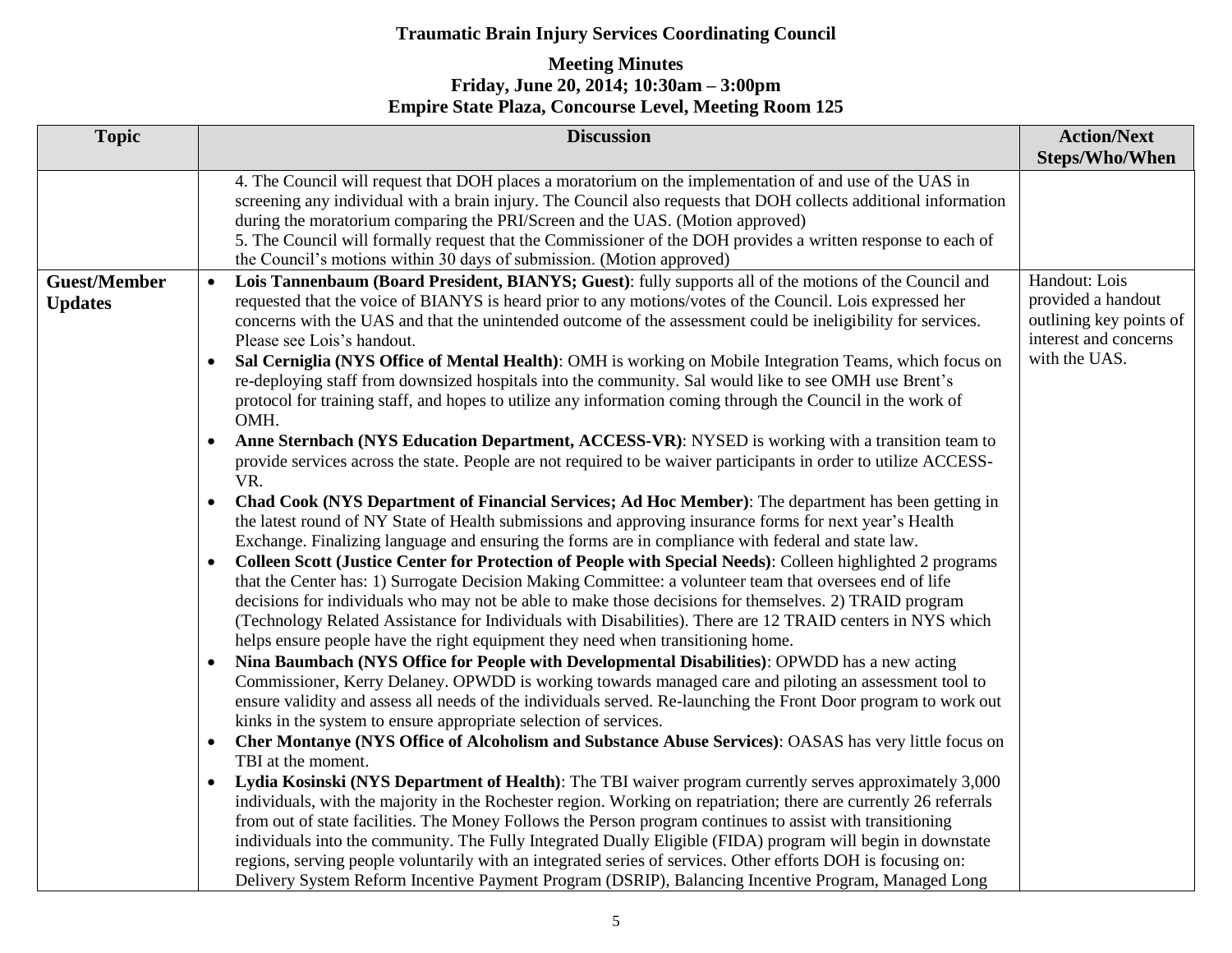| <b>Topic</b>                          | <b>Discussion</b>                                                                                                                                                                                                                                                                                                                                                                                                                                                                                                                                                                                                                                                                                                                                                                                                                                                                                                                                                                                                                                                                                                                                                                                                                                                                                                                                                                                                                                                                                                                                                                                                                                                                                                                                                                                                                                                                                                                                                                                                                                                                                                                                                                                                                                                                                                                                                                                                                                                                                                                                                                                                                                                                                                                                                                                                                                                                                                                                                                                                                                                                                                    | <b>Action/Next</b><br><b>Steps/Who/When</b>                                                              |
|---------------------------------------|----------------------------------------------------------------------------------------------------------------------------------------------------------------------------------------------------------------------------------------------------------------------------------------------------------------------------------------------------------------------------------------------------------------------------------------------------------------------------------------------------------------------------------------------------------------------------------------------------------------------------------------------------------------------------------------------------------------------------------------------------------------------------------------------------------------------------------------------------------------------------------------------------------------------------------------------------------------------------------------------------------------------------------------------------------------------------------------------------------------------------------------------------------------------------------------------------------------------------------------------------------------------------------------------------------------------------------------------------------------------------------------------------------------------------------------------------------------------------------------------------------------------------------------------------------------------------------------------------------------------------------------------------------------------------------------------------------------------------------------------------------------------------------------------------------------------------------------------------------------------------------------------------------------------------------------------------------------------------------------------------------------------------------------------------------------------------------------------------------------------------------------------------------------------------------------------------------------------------------------------------------------------------------------------------------------------------------------------------------------------------------------------------------------------------------------------------------------------------------------------------------------------------------------------------------------------------------------------------------------------------------------------------------------------------------------------------------------------------------------------------------------------------------------------------------------------------------------------------------------------------------------------------------------------------------------------------------------------------------------------------------------------------------------------------------------------------------------------------------------------|----------------------------------------------------------------------------------------------------------|
|                                       | 4. The Council will request that DOH places a moratorium on the implementation of and use of the UAS in<br>screening any individual with a brain injury. The Council also requests that DOH collects additional information<br>during the moratorium comparing the PRI/Screen and the UAS. (Motion approved)<br>5. The Council will formally request that the Commissioner of the DOH provides a written response to each of<br>the Council's motions within 30 days of submission. (Motion approved)                                                                                                                                                                                                                                                                                                                                                                                                                                                                                                                                                                                                                                                                                                                                                                                                                                                                                                                                                                                                                                                                                                                                                                                                                                                                                                                                                                                                                                                                                                                                                                                                                                                                                                                                                                                                                                                                                                                                                                                                                                                                                                                                                                                                                                                                                                                                                                                                                                                                                                                                                                                                                |                                                                                                          |
| <b>Guest/Member</b><br><b>Updates</b> | Lois Tannenbaum (Board President, BIANYS; Guest): fully supports all of the motions of the Council and<br>$\bullet$<br>requested that the voice of BIANYS is heard prior to any motions/votes of the Council. Lois expressed her<br>concerns with the UAS and that the unintended outcome of the assessment could be ineligibility for services.<br>Please see Lois's handout.<br>Sal Cerniglia (NYS Office of Mental Health): OMH is working on Mobile Integration Teams, which focus on<br>$\bullet$<br>re-deploying staff from downsized hospitals into the community. Sal would like to see OMH use Brent's<br>protocol for training staff, and hopes to utilize any information coming through the Council in the work of<br>OMH.<br>Anne Sternbach (NYS Education Department, ACCESS-VR): NYSED is working with a transition team to<br>$\bullet$<br>provide services across the state. People are not required to be waiver participants in order to utilize ACCESS-<br>VR.<br>Chad Cook (NYS Department of Financial Services; Ad Hoc Member): The department has been getting in<br>$\bullet$<br>the latest round of NY State of Health submissions and approving insurance forms for next year's Health<br>Exchange. Finalizing language and ensuring the forms are in compliance with federal and state law.<br>Colleen Scott (Justice Center for Protection of People with Special Needs): Colleen highlighted 2 programs<br>that the Center has: 1) Surrogate Decision Making Committee: a volunteer team that oversees end of life<br>decisions for individuals who may not be able to make those decisions for themselves. 2) TRAID program<br>(Technology Related Assistance for Individuals with Disabilities). There are 12 TRAID centers in NYS which<br>helps ensure people have the right equipment they need when transitioning home.<br>Nina Baumbach (NYS Office for People with Developmental Disabilities): OPWDD has a new acting<br>$\bullet$<br>Commissioner, Kerry Delaney. OPWDD is working towards managed care and piloting an assessment tool to<br>ensure validity and assess all needs of the individuals served. Re-launching the Front Door program to work out<br>kinks in the system to ensure appropriate selection of services.<br>Cher Montanye (NYS Office of Alcoholism and Substance Abuse Services): OASAS has very little focus on<br>$\bullet$<br>TBI at the moment.<br>Lydia Kosinski (NYS Department of Health): The TBI waiver program currently serves approximately 3,000<br>$\bullet$<br>individuals, with the majority in the Rochester region. Working on repatriation; there are currently 26 referrals<br>from out of state facilities. The Money Follows the Person program continues to assist with transitioning<br>individuals into the community. The Fully Integrated Dually Eligible (FIDA) program will begin in downstate<br>regions, serving people voluntarily with an integrated series of services. Other efforts DOH is focusing on:<br>Delivery System Reform Incentive Payment Program (DSRIP), Balancing Incentive Program, Managed Long | Handout: Lois<br>provided a handout<br>outlining key points of<br>interest and concerns<br>with the UAS. |